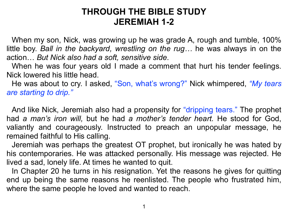## **THROUGH THE BIBLE STUDY JEREMIAH 1-2**

 When my son, Nick, was growing up he was grade A, rough and tumble, 100% little boy. *Ball in the backyard, wrestling on the rug…* he was always in on the action… *But Nick also had a soft, sensitive side*.

 When he was four years old I made a comment that hurt his tender feelings. Nick lowered his little head.

 He was about to cry. I asked, "Son, what's wrong?" Nick whimpered, *"My tears are starting to drip."* 

And like Nick, Jeremiah also had a propensity for "dripping tears." The prophet had *a man's iron will,* but he had *a mother's tender heart.* He stood for God, valiantly and courageously. Instructed to preach an unpopular message, he remained faithful to His calling.

 Jeremiah was perhaps the greatest OT prophet, but ironically he was hated by his contemporaries. He was attacked personally. His message was rejected. He lived a sad, lonely life. At times he wanted to quit.

 In Chapter 20 he turns in his resignation. Yet the reasons he gives for quitting end up being the same reasons he reenlisted. The people who frustrated him, where the same people he loved and wanted to reach.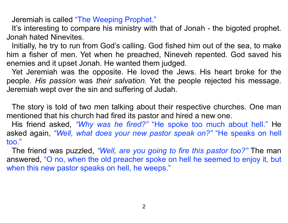Jeremiah is called "The Weeping Prophet."

It's interesting to compare his ministry with that of Jonah - the bigoted prophet. Jonah hated Ninevites.

 Initially, he try to run from God's calling. God fished him out of the sea, to make him a fisher of men. Yet when he preached, Nineveh repented. God saved his enemies and it upset Jonah. He wanted them judged.

 Yet Jeremiah was the opposite. He loved the Jews. His heart broke for the people. *His passion* was *their salvation.* Yet the people rejected his message. Jeremiah wept over the sin and suffering of Judah.

 The story is told of two men talking about their respective churches. One man mentioned that his church had fired its pastor and hired a new one.

 His friend asked, *"Why was he fired?"* "He spoke too much about hell." He asked again, *"Well, what does your new pastor speak on?"* "He speaks on hell too."

 The friend was puzzled, *"Well, are you going to fire this pastor too?"* The man answered, "O no, when the old preacher spoke on hell he seemed to enjoy it, but when this new pastor speaks on hell, he weeps."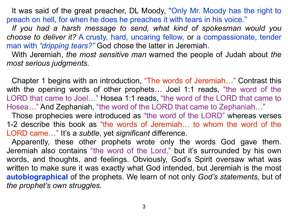It was said of the great preacher, DL Moody, "Only Mr. Moody has the right to preach on hell, for when he does he preaches it with tears in his voice."

*If you had a harsh message to send, what kind of spokesman would you choose to deliver it?* A crusty, hard, uncaring fellow, or a compassionate, tender man with *"dripping tears?"* God chose the latter in Jeremiah.

 With Jeremiah, *the most sensitive man* warned the people of Judah about *the most serious judgments.* 

Chapter 1 begins with an introduction, "The words of Jeremiah…" Contrast this with the opening words of other prophets… Joel 1:1 reads, "the word of the LORD that came to Joel…" Hosea 1:1 reads, "the word of the LORD that came to Hosea…" And Zephaniah, "the word of the LORD that came to Zephaniah…"

Those prophecies were introduced as "the word of the LORD" whereas verses 1-2 describe this book as "the words of Jeremiah… to whom the word of the LORD came…" It's a *subtle*, yet *significant* difference.

 Apparently, these other prophets wrote only the words God gave them. Jeremiah also contains "the word of the Lord," but it's surrounded by his own words, and thoughts, and feelings. Obviously, God's Spirit oversaw what was written to make sure it was exactly what God intended, but Jeremiah is the most **autobiographical** of the prophets. We learn of not only *God's statements,* but of *the prophet's own struggles.*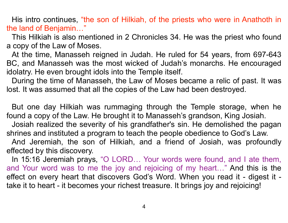His intro continues, "the son of Hilkiah, of the priests who were in Anathoth in the land of Benjamin…"

 This Hilkiah is also mentioned in 2 Chronicles 34. He was the priest who found a copy of the Law of Moses.

 At the time, Manasseh reigned in Judah. He ruled for 54 years, from 697-643 BC, and Manasseh was the most wicked of Judah's monarchs. He encouraged idolatry. He even brought idols into the Temple itself.

 During the time of Manasseh, the Law of Moses became a relic of past. It was lost. It was assumed that all the copies of the Law had been destroyed.

 But one day Hilkiah was rummaging through the Temple storage, when he found a copy of the Law. He brought it to Manasseh's grandson, King Josiah.

 Josiah realized the severity of his grandfather's sin. He demolished the pagan shrines and instituted a program to teach the people obedience to God's Law.

 And Jeremiah, the son of Hilkiah, and a friend of Josiah, was profoundly effected by this discovery.

 In 15:16 Jeremiah prays, "O LORD… Your words were found, and I ate them, and Your word was to me the joy and rejoicing of my heart…" And this is the effect on every heart that discovers God's Word. When you read it - digest it take it to heart - it becomes your richest treasure. It brings joy and rejoicing!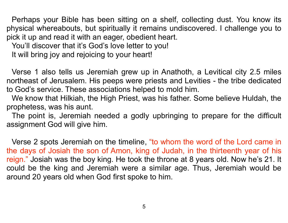Perhaps your Bible has been sitting on a shelf, collecting dust. You know its physical whereabouts, but spiritually it remains undiscovered. I challenge you to pick it up and read it with an eager, obedient heart.

You'll discover that it's God's love letter to you!

It will bring joy and rejoicing to your heart!

 Verse 1 also tells us Jeremiah grew up in Anathoth, a Levitical city 2.5 miles northeast of Jerusalem. His peeps were priests and Levities - the tribe dedicated to God's service. These associations helped to mold him.

 We know that Hilkiah, the High Priest, was his father. Some believe Huldah, the prophetess, was his aunt.

 The point is, Jeremiah needed a godly upbringing to prepare for the difficult assignment God will give him.

 Verse 2 spots Jeremiah on the timeline, "to whom the word of the Lord came in the days of Josiah the son of Amon, king of Judah, in the thirteenth year of his reign." Josiah was the boy king. He took the throne at 8 years old. Now he's 21. It could be the king and Jeremiah were a similar age. Thus, Jeremiah would be around 20 years old when God first spoke to him.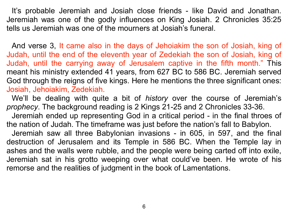It's probable Jeremiah and Josiah close friends - like David and Jonathan. Jeremiah was one of the godly influences on King Josiah. 2 Chronicles 35:25 tells us Jeremiah was one of the mourners at Josiah's funeral.

And verse 3, It came also in the days of Jehoiakim the son of Josiah, king of Judah, until the end of the eleventh year of Zedekiah the son of Josiah, king of Judah, until the carrying away of Jerusalem captive in the fifth month." This meant his ministry extended 41 years, from 627 BC to 586 BC. Jeremiah served God through the reigns of five kings. Here he mentions the three significant ones: Josiah, Jehoiakim, Zedekiah.

We'll be dealing with quite a bit of *history* over the course of Jeremiah's *prophecy*. The background reading is 2 Kings 21-25 and 2 Chronicles 33-36.

 Jeremiah ended up representing God in a critical period - in the final throes of the nation of Judah. The timeframe was just before the nation's fall to Babylon.

 Jeremiah saw all three Babylonian invasions - in 605, in 597, and the final destruction of Jerusalem and its Temple in 586 BC. When the Temple lay in ashes and the walls were rubble, and the people were being carted off into exile, Jeremiah sat in his grotto weeping over what could've been. He wrote of his remorse and the realities of judgment in the book of Lamentations.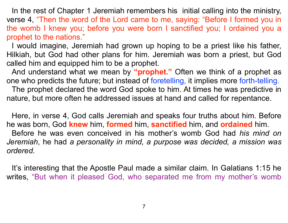In the rest of Chapter 1 Jeremiah remembers his initial calling into the ministry, verse 4, "Then the word of the Lord came to me, saying: "Before I formed you in the womb I knew you; before you were born I sanctified you; I ordained you a prophet to the nations."

I would imagine, Jeremiah had grown up hoping to be a priest like his father, Hilkiah, but God had other plans for him. Jeremiah was born a priest, but God called him and equipped him to be a prophet.

 And understand what we mean by **"prophet."** Often we think of a prophet as one who predicts the future; but instead of foretelling, it implies more forth-telling.

The prophet declared the word God spoke to him. At times he was predictive in nature, but more often he addressed issues at hand and called for repentance.

 Here, in verse 4, God calls Jeremiah and speaks four truths about him. Before he was born, God **knew** him, **formed** him, **sanctified** him, and **ordained** him. Before he was even conceived in his mother's womb God had *his mind on Jeremiah*, he had *a personality in mind, a purpose was decided, a mission was ordered.*

 It's interesting that the Apostle Paul made a similar claim. In Galatians 1:15 he writes, "But when it pleased God, who separated me from my mother's womb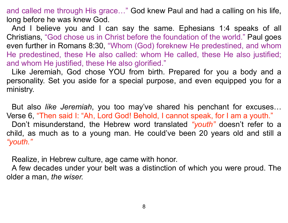and called me through His grace…" God knew Paul and had a calling on his life, long before he was knew God.

 And I believe you and I can say the same. Ephesians 1:4 speaks of all Christians, "God chose us in Christ before the foundation of the world." Paul goes even further in Romans 8:30, "Whom (God) foreknew He predestined, and whom He predestined, these He also called: whom He called, these He also justified; and whom He justified, these He also glorified."

 Like Jeremiah, God chose YOU from birth. Prepared for you a body and a personality. Set you aside for a special purpose, and even equipped you for a ministry.

 But also *like Jeremiah*, you too may've shared his penchant for excuses… Verse 6, "Then said I: "Ah, Lord God! Behold, I cannot speak, for I am a youth." Don't misunderstand, the Hebrew word translated *"youth"* doesn't refer to a child, as much as to a young man. He could've been 20 years old and still a *"youth."* 

Realize, in Hebrew culture, age came with honor.

 A few decades under your belt was a distinction of which you were proud. The older a man, *the wiser.*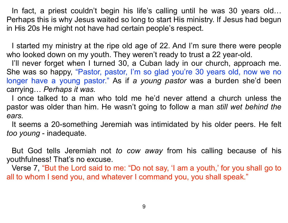In fact, a priest couldn't begin his life's calling until he was 30 years old… Perhaps this is why Jesus waited so long to start His ministry. If Jesus had begun in His 20s He might not have had certain people's respect.

 I started my ministry at the ripe old age of 22. And I'm sure there were people who looked down on my youth. They weren't ready to trust a 22 year-old.

 I'll never forget when I turned 30, a Cuban lady in our church, approach me. She was so happy, "Pastor, pastor, I'm so glad you're 30 years old, now we no longer have a young pastor." As if *a young pastor* was a burden she'd been carrying… *Perhaps it was.*

 I once talked to a man who told me he'd never attend a church unless the pastor was older than him. He wasn't going to follow a man *still wet behind the ears.* 

It seems a 20-something Jeremiah was intimidated by his older peers. He felt *too young* - inadequate.

 But God tells Jeremiah not *to cow away* from his calling because of his youthfulness! That's no excuse.

 Verse 7, "But the Lord said to me: "Do not say, 'I am a youth,' for you shall go to all to whom I send you, and whatever I command you, you shall speak."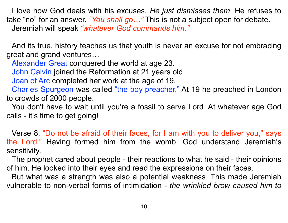I love how God deals with his excuses. *He just dismisses them.* He refuses to take "no" for an answer. *"You shall go…"* This is not a subject open for debate. Jeremiah will speak *"whatever God commands him."*

 And its true, history teaches us that youth is never an excuse for not embracing great and grand ventures…

Alexander Great conquered the world at age 23.

John Calvin joined the Reformation at 21 years old.

Joan of Arc completed her work at the age of 19.

Charles Spurgeon was called "the boy preacher." At 19 he preached in London to crowds of 2000 people.

 You don't have to wait until you're a fossil to serve Lord. At whatever age God calls - it's time to get going!

 Verse 8, "Do not be afraid of their faces, for I am with you to deliver you," says the Lord." Having formed him from the womb, God understand Jeremiah's sensitivity.

 The prophet cared about people - their reactions to what he said - their opinions of him. He looked into their eyes and read the expressions on their faces.

 But what was a strength was also a potential weakness. This made Jeremiah vulnerable to non-verbal forms of intimidation - *the wrinkled brow caused him to*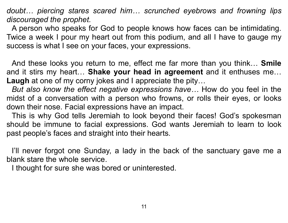*doubt… piercing stares scared him… scrunched eyebrows and frowning lips discouraged the prophet.* 

A person who speaks for God to people knows how faces can be intimidating. Twice a week I pour my heart out from this podium, and all I have to gauge my success is what I see on your faces, your expressions.

 And these looks you return to me, effect me far more than you think… **Smile** and it stirs my heart… **Shake your head in agreement** and it enthuses me… **Laugh** at one of my corny jokes and I appreciate the pity…

*But also know the effect negative expressions have…* How do you feel in the midst of a conversation with a person who frowns, or rolls their eyes, or looks down their nose. Facial expressions have an impact.

 This is why God tells Jeremiah to look beyond their faces! God's spokesman should be immune to facial expressions. God wants Jeremiah to learn to look past people's faces and straight into their hearts.

 I'll never forgot one Sunday, a lady in the back of the sanctuary gave me a blank stare the whole service.

I thought for sure she was bored or uninterested.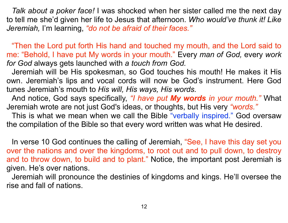*Talk about a poker face!* I was shocked when her sister called me the next day to tell me she'd given her life to Jesus that afternoon. *Who would've thunk it! Like Jeremiah,* I'm learning, *"do not be afraid of their faces."*

 "Then the Lord put forth His hand and touched my mouth, and the Lord said to me: "Behold, I have put My words in your mouth." Every *man of God,* every *work for God* always gets launched with *a touch from God.*

Jeremiah will be His spokesman, so God touches his mouth! He makes it His own. Jeremiah's lips and vocal cords will now be God's instrument. Here God tunes Jeremiah's mouth to *His will, His ways, His words.*

 And notice, God says specifically, *"I have put My words in your mouth."* What Jeremiah wrote are not just God's ideas, or thoughts, but His very *"words."* 

This is what we mean when we call the Bible "verbally inspired." God oversaw the compilation of the Bible so that every word written was what He desired.

In verse 10 God continues the calling of Jeremiah, "See, I have this day set you over the nations and over the kingdoms, to root out and to pull down, to destroy and to throw down, to build and to plant." Notice, the important post Jeremiah is given. He's over nations.

 Jeremiah will pronounce the destinies of kingdoms and kings. He'll oversee the rise and fall of nations.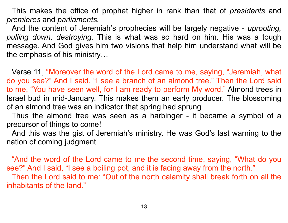This makes the office of prophet higher in rank than that of *presidents* and *premieres* and *parliaments*.

 And the content of Jeremiah's prophecies will be largely negative - *uprooting, pulling down, destroying.* This is what was so hard on him. His was a tough message. And God gives him two visions that help him understand what will be the emphasis of his ministry…

Verse 11, "Moreover the word of the Lord came to me, saying, "Jeremiah, what do you see?" And I said, "I see a branch of an almond tree." Then the Lord said to me, "You have seen well, for I am ready to perform My word." Almond trees in Israel bud in mid-January. This makes them an early producer. The blossoming of an almond tree was an indicator that spring had sprung.

 Thus the almond tree was seen as a harbinger - it became a symbol of a precursor of things to come!

 And this was the gist of Jeremiah's ministry. He was God's last warning to the nation of coming judgment.

"And the word of the Lord came to me the second time, saying, "What do you see?" And I said, "I see a boiling pot, and it is facing away from the north." Then the Lord said to me: "Out of the north calamity shall break forth on all the

inhabitants of the land."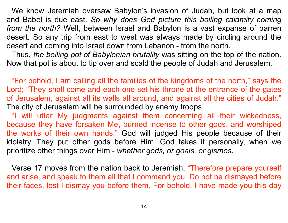We know Jeremiah oversaw Babylon's invasion of Judah, but look at a map and Babel is due east. *So why does God picture this boiling calamity coming from the north?* Well, between Israel and Babylon is a vast expanse of barren desert. So any trip from east to west was always made by circling around the desert and coming into Israel down from Lebanon - from the north.

 Thus, *the boiling pot of Babylonian brutality* was sitting on the top of the nation. Now that pot is about to tip over and scald the people of Judah and Jerusalem.

 "For behold, I am calling all the families of the kingdoms of the north," says the Lord; "They shall come and each one set his throne at the entrance of the gates of Jerusalem, against all its walls all around, and against all the cities of Judah." The city of Jerusalem will be surrounded by enemy troops.

 "I will utter My judgments against them concerning all their wickedness, because they have forsaken Me, burned incense to other gods, and worshiped the works of their own hands." God will judged His people because of their idolatry. They put other gods before Him. God takes it personally, when we prioritize other things over Him - *whether gods, or goals, or gismos.*

Verse 17 moves from the nation back to Jeremiah, "Therefore prepare yourself and arise, and speak to them all that I command you. Do not be dismayed before their faces, lest I dismay you before them. For behold, I have made you this day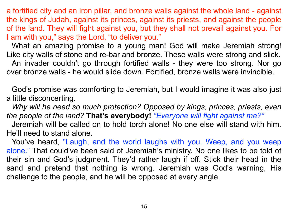a fortified city and an iron pillar, and bronze walls against the whole land - against the kings of Judah, against its princes, against its priests, and against the people of the land. They will fight against you, but they shall not prevail against you. For I am with you," says the Lord, "to deliver you."

What an amazing promise to a young man! God will make Jeremiah strong! Like city walls of stone and re-bar and bronze. These walls were strong and slick. An invader couldn't go through fortified walls - they were too strong. Nor go over bronze walls - he would slide down. Fortified, bronze walls were invincible.

 God's promise was comforting to Jeremiah, but I would imagine it was also just a little disconcerting.

 *Why will he need so much protection? Opposed by kings, princes, priests, even the people of the land?* **That's everybody!** *"Everyone will fight against me?"*

 Jeremiah will be called on to hold torch alone! No one else will stand with him. He'll need to stand alone.

You've heard, "Laugh, and the world laughs with you. Weep, and you weep alone." That could've been said of Jeremiah's ministry. No one likes to be told of their sin and God's judgment. They'd rather laugh if off. Stick their head in the sand and pretend that nothing is wrong. Jeremiah was God's warning, His challenge to the people, and he will be opposed at every angle.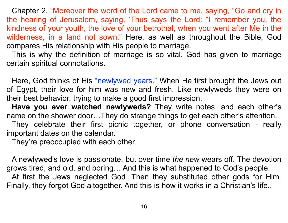Chapter 2, "Moreover the word of the Lord came to me, saying, "Go and cry in the hearing of Jerusalem, saying, 'Thus says the Lord: "I remember you, the kindness of your youth, the love of your betrothal, when you went after Me in the wilderness, in a land not sown." Here, as well as throughout the Bible, God compares His relationship with His people to marriage.

 This is why the definition of marriage is so vital. God has given to marriage certain spiritual connotations.

 Here, God thinks of His "newlywed years." When He first brought the Jews out of Egypt, their love for him was new and fresh. Like newlyweds they were on their best behavior, trying to make a good first impression.

**Have you ever watched newlyweds?** They write notes, and each other's name on the shower door…They do strange things to get each other's attention.

 They celebrate their first picnic together, or phone conversation - really important dates on the calendar.

They're preoccupied with each other.

 A newlywed's love is passionate, but over time *the new* wears off. The devotion grows tired, and old, and boring… And this is what happened to God's people. At first the Jews neglected God. Then they substituted other gods for Him. Finally, they forgot God altogether. And this is how it works in a Christian's life..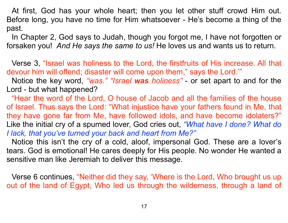At first, God has your whole heart; then you let other stuff crowd Him out. Before long, you have no time for Him whatsoever - He's become a thing of the past.

 In Chapter 2, God says to Judah, though you forgot me, I have not forgotten or forsaken you! *And He says the same to us!* He loves us and wants us to return.

 Verse 3, "Israel was holiness to the Lord, the firstfruits of His increase. All that devour him will offend; disaster will come upon them," says the Lord.'"

 Notice the key word, *"was." "Israel was holiness"* - or set apart to and for the Lord - but what happened?

"Hear the word of the Lord, O house of Jacob and all the families of the house of Israel. Thus says the Lord: "What injustice have your fathers found in Me, that they have gone far from Me, have followed idols, and have become idolaters?" Like the initial cry of a spurned lover, God cries out, *"What have I done? What do I lack, that you've turned your back and heart from Me?"*

Notice this isn't the cry of a cold, aloof, impersonal God. These are a lover's tears. God is emotional! He cares deeply for His people. No wonder He wanted a sensitive man like Jeremiah to deliver this message.

 Verse 6 continues, "Neither did they say, 'Where is the Lord, Who brought us up out of the land of Egypt, Who led us through the wilderness, through a land of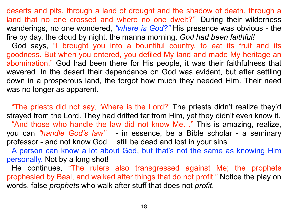deserts and pits, through a land of drought and the shadow of death, through a land that no one crossed and where no one dwelt?'" During their wilderness wanderings, no one wondered, *"where is God?"* His presence was obvious - the fire by day, the cloud by night, the manna morning. *God had been faithful!*

God says, "I brought you into a bountiful country, to eat its fruit and its goodness. But when you entered, you defiled My land and made My heritage an abomination." God had been there for His people, it was their faithfulness that wavered. In the desert their dependance on God was evident, but after settling down in a prosperous land, the forgot how much they needed Him. Their need was no longer as apparent.

 "The priests did not say, 'Where is the Lord?' The priests didn't realize they'd strayed from the Lord. They had drifted far from Him, yet they didn't even know it. "And those who handle the law did not know Me…" This is amazing, realize, you can *"handle God's law"* - in essence, be a Bible scholar - a seminary professor - and not know God… still be dead and lost in your sins.

A person can know a lot about God, but that's not the same as knowing Him personally. Not by a long shot!

He continues, "The rulers also transgressed against Me; the prophets prophesied by Baal, and walked after things that do not profit." Notice the play on words, false *prophets* who walk after stuff that does not *profit*.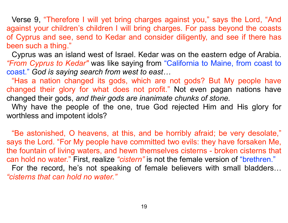Verse 9, "Therefore I will yet bring charges against you," says the Lord, "And against your children's children I will bring charges. For pass beyond the coasts of Cyprus and see, send to Kedar and consider diligently, and see if there has been such a thing."

Cyprus was an island west of Israel. Kedar was on the eastern edge of Arabia. *"From Cyprus to Kedar"* was like saying from "California to Maine, from coast to coast." *God is saying search from west to east…*

"Has a nation changed its gods, which are not gods? But My people have changed their glory for what does not profit." Not even pagan nations have changed their gods, *and their gods are inanimate chunks of stone.*

 Why have the people of the one, true God rejected Him and His glory for worthless and impotent idols?

 "Be astonished, O heavens, at this, and be horribly afraid; be very desolate," says the Lord. "For My people have committed two evils: they have forsaken Me, the fountain of living waters, and hewn themselves cisterns - broken cisterns that can hold no water." First, realize *"cistern"* is not the female version of "brethren." For the record, he's not speaking of female believers with small bladders… *"cisterns that can hold no water."*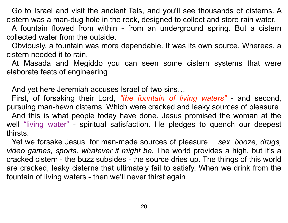Go to Israel and visit the ancient Tels, and you'll see thousands of cisterns. A cistern was a man-dug hole in the rock, designed to collect and store rain water.

 A fountain flowed from within - from an underground spring. But a cistern collected water from the outside.

 Obviously, a fountain was more dependable. It was its own source. Whereas, a cistern needed it to rain.

 At Masada and Megiddo you can seen some cistern systems that were elaborate feats of engineering.

And yet here Jeremiah accuses Israel of two sins…

 First, of forsaking their Lord, *"the fountain of living waters"* - and second, pursuing man-hewn cisterns. Which were cracked and leaky sources of pleasure.

 And this is what people today have done. Jesus promised the woman at the well "living water" - spiritual satisfaction. He pledges to quench our deepest thirsts.

 Yet we forsake Jesus, for man-made sources of pleasure… *sex, booze, drugs, video games, sports, whatever it might be.* The world provides a high, but it's a cracked cistern - the buzz subsides - the source dries up. The things of this world are cracked, leaky cisterns that ultimately fail to satisfy. When we drink from the fountain of living waters - then we'll never thirst again.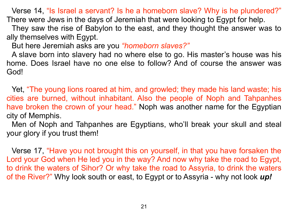Verse 14, "Is Israel a servant? Is he a homeborn slave? Why is he plundered?" There were Jews in the days of Jeremiah that were looking to Egypt for help.

 They saw the rise of Babylon to the east, and they thought the answer was to ally themselves with Egypt.

But here Jeremiah asks are you *"homeborn slaves?"* 

A slave born into slavery had no where else to go. His master's house was his home. Does Israel have no one else to follow? And of course the answer was God!

Yet, "The young lions roared at him, and growled; they made his land waste; his cities are burned, without inhabitant. Also the people of Noph and Tahpanhes have broken the crown of your head." Noph was another name for the Egyptian city of Memphis.

 Men of Noph and Tahpanhes are Egyptians, who'll break your skull and steal your glory if you trust them!

 Verse 17, "Have you not brought this on yourself, in that you have forsaken the Lord your God when He led you in the way? And now why take the road to Egypt, to drink the waters of Sihor? Or why take the road to Assyria, to drink the waters of the River?" Why look south or east, to Egypt or to Assyria - why not look *up!*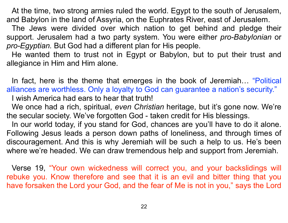At the time, two strong armies ruled the world. Egypt to the south of Jerusalem, and Babylon in the land of Assyria, on the Euphrates River, east of Jerusalem.

 The Jews were divided over which nation to get behind and pledge their support. Jerusalem had a two party system. You were either *pro-Babylonian* or *pro-Egyptian.* But God had a different plan for His people.

 He wanted them to trust not in Egypt or Babylon, but to put their trust and allegiance in Him and Him alone.

 In fact, here is the theme that emerges in the book of Jeremiah… "Political alliances are worthless. Only a loyalty to God can guarantee a nation's security." I wish America had ears to hear that truth!

 We once had a rich, spiritual, *even Christian* heritage, but it's gone now. We're the secular society. We've forgotten God - taken credit for His blessings.

 In our world today, if you stand for God, chances are you'll have to do it alone. Following Jesus leads a person down paths of loneliness, and through times of discouragement. And this is why Jeremiah will be such a help to us. He's been where we're headed. We can draw tremendous help and support from Jeremiah.

 Verse 19, "Your own wickedness will correct you, and your backslidings will rebuke you. Know therefore and see that it is an evil and bitter thing that you have forsaken the Lord your God, and the fear of Me is not in you," says the Lord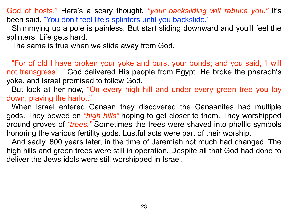God of hosts." Here's a scary thought, *"your backsliding will rebuke you."* It's been said, "You don't feel life's splinters until you backslide."

Shimmying up a pole is painless. But start sliding downward and you'll feel the splinters. Life gets hard.

The same is true when we slide away from God.

 "For of old I have broken your yoke and burst your bonds; and you said, 'I will not transgress…' God delivered His people from Egypt. He broke the pharaoh's yoke, and Israel promised to follow God.

 But look at her now, "On every high hill and under every green tree you lay down, playing the harlot."

 When Israel entered Canaan they discovered the Canaanites had multiple gods. They bowed on *"high hills"* hoping to get closer to them. They worshipped around groves of *"trees."* Sometimes the trees were shaved into phallic symbols honoring the various fertility gods. Lustful acts were part of their worship.

 And sadly, 800 years later, in the time of Jeremiah not much had changed. The high hills and green trees were still in operation. Despite all that God had done to deliver the Jews idols were still worshipped in Israel.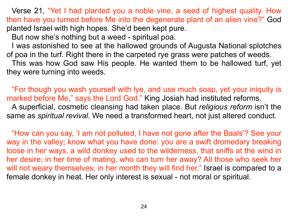Verse 21, "Yet I had planted you a noble vine, a seed of highest quality. How then have you turned before Me into the degenerate plant of an alien vine?" God planted Israel with high hopes. She'd been kept pure.

But now she's nothing but a weed - spiritual poa.

 I was astonished to see at the hallowed grounds of Augusta National splotches of poa in the turf. Right there in the carpeted rye grass were patches of weeds.

 This was how God saw His people. He wanted them to be hallowed turf, yet they were turning into weeds.

 "For though you wash yourself with lye, and use much soap, yet your iniquity is marked before Me," says the Lord God." King Josiah had instituted reforms. A superficial, cosmetic cleansing had taken place. But *religious reform* isn't the same as *spiritual revival.* We need a transformed heart, not just altered conduct.

 "How can you say, 'I am not polluted, I have not gone after the Baals'? See your way in the valley; know what you have done: you are a swift dromedary breaking loose in her ways, a wild donkey used to the wilderness, that sniffs at the wind in her desire; in her time of mating, who can turn her away? All those who seek her will not weary themselves; in her month they will find her." Israel is compared to a female donkey in heat. Her only interest is sexual - not moral or spiritual.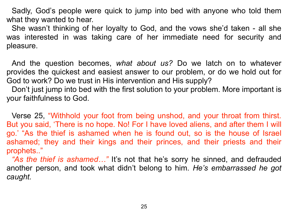Sadly, God's people were quick to jump into bed with anyone who told them what they wanted to hear.

 She wasn't thinking of her loyalty to God, and the vows she'd taken - all she was interested in was taking care of her immediate need for security and pleasure.

 And the question becomes, *what about us?* Do we latch on to whatever provides the quickest and easiest answer to our problem, or do we hold out for God to work? Do we trust in His intervention and His supply?

 Don't just jump into bed with the first solution to your problem. More important is your faithfulness to God.

Verse 25, "Withhold your foot from being unshod, and your throat from thirst. But you said, 'There is no hope. No! For I have loved aliens, and after them I will go.' "As the thief is ashamed when he is found out, so is the house of Israel ashamed; they and their kings and their princes, and their priests and their prophets.."

*"As the thief is ashamed…"* It's not that he's sorry he sinned, and defrauded another person, and took what didn't belong to him. *He's embarrassed he got caught.*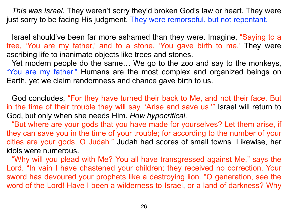*This was Israel.* They weren't sorry they'd broken God's law or heart. They were just sorry to be facing His judgment. They were remorseful, but not repentant.

Israel should've been far more ashamed than they were. Imagine, "Saying to a tree, 'You are my father,' and to a stone, 'You gave birth to me.' They were ascribing life to inanimate objects like trees and stones.

 Yet modern people do the same… We go to the zoo and say to the monkeys, "You are my father." Humans are the most complex and organized beings on Earth, yet we claim randomness and chance gave birth to us.

God concludes, "For they have turned their back to Me, and not their face. But in the time of their trouble they will say, 'Arise and save us.'" Israel will return to God, but only when she needs Him. *How hypocritical.*

 "But where are your gods that you have made for yourselves? Let them arise, if they can save you in the time of your trouble; for according to the number of your cities are your gods, O Judah." Judah had scores of small towns. Likewise, her idols were numerous.

 "Why will you plead with Me? You all have transgressed against Me," says the Lord. "In vain I have chastened your children; they received no correction. Your sword has devoured your prophets like a destroying lion. "O generation, see the word of the Lord! Have I been a wilderness to Israel, or a land of darkness? Why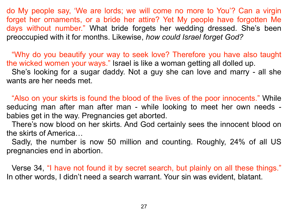do My people say, 'We are lords; we will come no more to You'? Can a virgin forget her ornaments, or a bride her attire? Yet My people have forgotten Me days without number." What bride forgets her wedding dressed. She's been preoccupied with it for months. Likewise, *how could Israel forget God?*

 "Why do you beautify your way to seek love? Therefore you have also taught the wicked women your ways." Israel is like a woman getting all dolled up. She's looking for a sugar daddy. Not a guy she can love and marry - all she wants are her needs met.

"Also on your skirts is found the blood of the lives of the poor innocents." While seducing man after man after man - while looking to meet her own needs babies get in the way. Pregnancies get aborted.

 There's now blood on her skirts. And God certainly sees the innocent blood on the skirts of America…

 Sadly, the number is now 50 million and counting. Roughly, 24% of all US pregnancies end in abortion.

 Verse 34, "I have not found it by secret search, but plainly on all these things." In other words, I didn't need a search warrant. Your sin was evident, blatant.